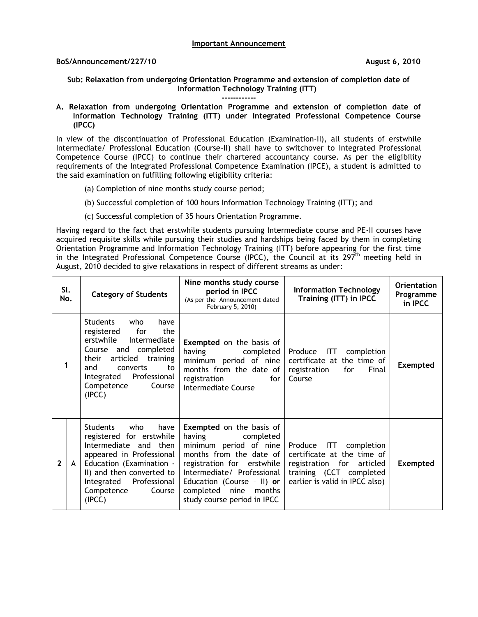## **Important Announcement**

## **BoS/Announcement/227/10 August 6, 2010**

**Sub: Relaxation from undergoing Orientation Programme and extension of completion date of Information Technology Training (ITT)**

**------------**

**A. Relaxation from undergoing Orientation Programme and extension of completion date of Information Technology Training (ITT) under Integrated Professional Competence Course (IPCC)**

In view of the discontinuation of Professional Education (Examination-II), all students of erstwhile Intermediate/ Professional Education (Course-II) shall have to switchover to Integrated Professional Competence Course (IPCC) to continue their chartered accountancy course. As per the eligibility requirements of the Integrated Professional Competence Examination (IPCE), a student is admitted to the said examination on fulfilling following eligibility criteria:

- (a) Completion of nine months study course period;
- (b) Successful completion of 100 hours Information Technology Training (ITT); and
- (c) Successful completion of 35 hours Orientation Programme.

Having regard to the fact that erstwhile students pursuing Intermediate course and PE-II courses have acquired requisite skills while pursuing their studies and hardships being faced by them in completing Orientation Programme and Information Technology Training (ITT) before appearing for the first time in the Integrated Professional Competence Course (IPCC), the Council at its  $297<sup>th</sup>$  meeting held in August, 2010 decided to give relaxations in respect of different streams as under:

|                | SI.<br>No. | <b>Category of Students</b>                                                                                                                                                                                                    | Nine months study course<br>period in IPCC<br>(As per the Announcement dated<br>February 5, 2010)                                                                                                                                                                | <b>Information Technology</b><br>Training (ITT) in IPCC                                                                                        | <b>Orientation</b><br>Programme<br>in IPCC |
|----------------|------------|--------------------------------------------------------------------------------------------------------------------------------------------------------------------------------------------------------------------------------|------------------------------------------------------------------------------------------------------------------------------------------------------------------------------------------------------------------------------------------------------------------|------------------------------------------------------------------------------------------------------------------------------------------------|--------------------------------------------|
| 1              |            | Students<br>who<br>have<br>registered for<br>the<br>erstwhile<br>Intermediate<br>Course and completed<br>articled training<br>their<br>and<br>converts<br>to<br>Professional<br>Integrated<br>Competence<br>Course<br>(IPCC)   | <b>Exempted</b> on the basis of<br>having completed<br>minimum period of nine<br>months from the date of<br>registration<br>for<br>Intermediate Course                                                                                                           | Produce ITT<br>completion<br>certificate at the time of<br>registration<br>for<br>Final<br>Course                                              | <b>Exempted</b>                            |
| $\overline{2}$ | A          | Students<br>who<br>have<br>registered for erstwhile<br>Intermediate and then<br>appeared in Professional<br>Education (Examination -<br>II) and then converted to<br>Integrated Professional<br>Competence<br>Course<br>(IPCC) | <b>Exempted</b> on the basis of<br>having<br>completed<br>minimum period of nine<br>months from the date of<br>registration for erstwhile<br>Intermediate/ Professional<br>Education (Course - II) or<br>completed nine<br>months<br>study course period in IPCC | Produce ITT completion<br>certificate at the time of<br>registration for articled<br>training (CCT completed<br>earlier is valid in IPCC also) | <b>Exempted</b>                            |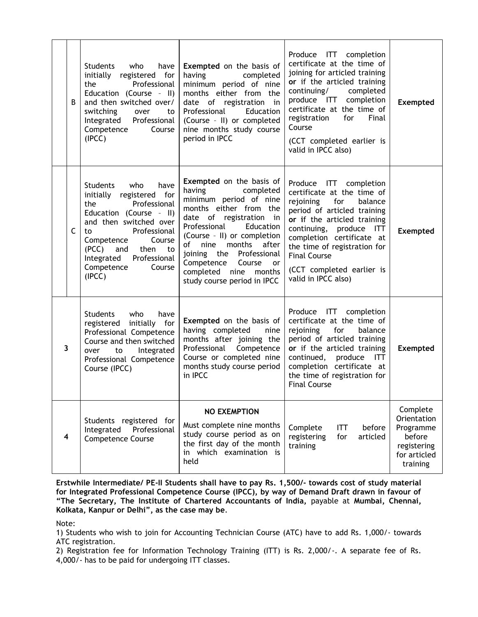|   | B            | Students<br>who<br>have<br>initially registered for<br>Professional<br>the<br>Education (Course - II)<br>and then switched over/<br>switching<br>over<br>to<br>Integrated<br>Professional<br>Competence<br>Course<br>(IPC)                                                | Exempted on the basis of<br>having<br>completed<br>minimum period of nine<br>months either from the<br>date of registration in<br>Education<br>Professional<br>(Course - II) or completed<br>nine months study course<br>period in IPCC                                                                                                              | Produce ITT completion<br>certificate at the time of<br>joining for articled training<br>or if the articled training<br>completed<br>continuing/<br>produce ITT completion<br>certificate at the time of<br>for<br>Final<br>registration<br>Course<br>(CCT completed earlier is<br>valid in IPCC also)            | <b>Exempted</b>                                                                           |
|---|--------------|---------------------------------------------------------------------------------------------------------------------------------------------------------------------------------------------------------------------------------------------------------------------------|------------------------------------------------------------------------------------------------------------------------------------------------------------------------------------------------------------------------------------------------------------------------------------------------------------------------------------------------------|-------------------------------------------------------------------------------------------------------------------------------------------------------------------------------------------------------------------------------------------------------------------------------------------------------------------|-------------------------------------------------------------------------------------------|
|   | $\mathsf{C}$ | have<br>Students<br>who<br>initially registered for<br>Professional<br>the<br>Education (Course - II)<br>and then switched over<br>Professional<br>to<br>Course<br>Competence<br>(PCC) and<br>then<br>to:<br>Professional<br>Integrated<br>Competence<br>Course<br>(IPCC) | Exempted on the basis of<br>having<br>completed<br>minimum period of nine<br>months either from the<br>date of registration in<br>Professional<br>Education<br>(Course - II) or completion<br>of<br>nine months<br>after<br>joining the Professional<br>Competence<br>Course<br><b>or</b><br>completed nine<br>months<br>study course period in IPCC | Produce ITT completion<br>certificate at the time of<br>rejoining for<br>balance<br>period of articled training<br>or if the articled training<br>continuing, produce ITT<br>completion certificate at<br>the time of registration for<br><b>Final Course</b><br>(CCT completed earlier is<br>valid in IPCC also) | Exempted                                                                                  |
| 3 |              | <b>Students</b><br>who<br>have<br>registered initially for<br>Professional Competence<br>Course and then switched<br>Integrated<br>over<br>to<br>Professional Competence<br>Course (IPCC)                                                                                 | <b>Exempted</b> on the basis of<br>having completed<br>nine<br>months after joining the<br>Professional Competence<br>Course or completed nine<br>months study course period<br>in IPCC                                                                                                                                                              | Produce ITT completion<br>certificate at the time of<br>rejoining for<br>balance<br>period of articled training<br>or if the articled training<br>continued, produce<br>ITT<br>completion certificate at<br>the time of registration for<br><b>Final Course</b>                                                   | Exempted                                                                                  |
| 4 |              | Students registered for<br>Professional<br>Integrated<br><b>Competence Course</b>                                                                                                                                                                                         | <b>NO EXEMPTION</b><br>Must complete nine months<br>study course period as on<br>the first day of the month<br>in which examination is<br>held                                                                                                                                                                                                       | Complete<br><b>ITT</b><br>before<br>registering<br>for<br>articled<br>training                                                                                                                                                                                                                                    | Complete<br>Orientation<br>Programme<br>before<br>registering<br>for articled<br>training |

**Erstwhile Intermediate/ PE-II Students shall have to pay Rs. 1,500/- towards cost of study material for Integrated Professional Competence Course (IPCC), by way of Demand Draft drawn in favour of "The Secretary, The Institute of Chartered Accountants of India,** payable at **Mumbai, Chennai, Kolkata, Kanpur or Delhi", as the case may be**.

Note:

1) Students who wish to join for Accounting Technician Course (ATC) have to add Rs. 1,000/- towards ATC registration.

2) Registration fee for Information Technology Training (ITT) is Rs. 2,000/-. A separate fee of Rs. 4,000/- has to be paid for undergoing ITT classes.